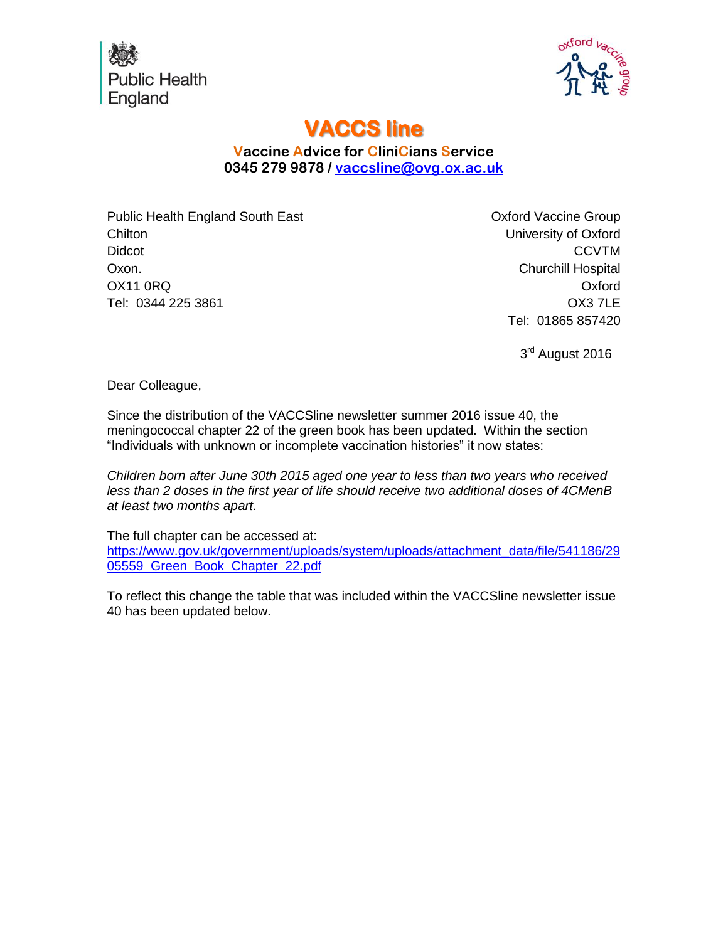



## **VACCS line**

## **Vaccine Advice for CliniCians Service 0345 279 9878 / [vaccsline@ovg.ox.ac.uk](mailto:vaccsline@ovg.ox.ac.uk)**

Public Health England South East **Chilton** Didcot Oxon. OX11 0RQ Tel: 0344 225 3861

Oxford Vaccine Group University of Oxford **CCVTM** Churchill Hospital Oxford OX3 7LE Tel: 01865 857420

3<sup>rd</sup> August 2016

Dear Colleague,

Since the distribution of the VACCSline newsletter summer 2016 issue 40, the meningococcal chapter 22 of the green book has been updated. Within the section "Individuals with unknown or incomplete vaccination histories" it now states:

*Children born after June 30th 2015 aged one year to less than two years who received less than 2 doses in the first year of life should receive two additional doses of 4CMenB at least two months apart.*

The full chapter can be accessed at:

[https://www.gov.uk/government/uploads/system/uploads/attachment\\_data/file/541186/29](https://www.gov.uk/government/uploads/system/uploads/attachment_data/file/541186/2905559_Green_Book_Chapter_22.pdf) 05559 Green Book Chapter 22.pdf

To reflect this change the table that was included within the VACCSline newsletter issue 40 has been updated below.